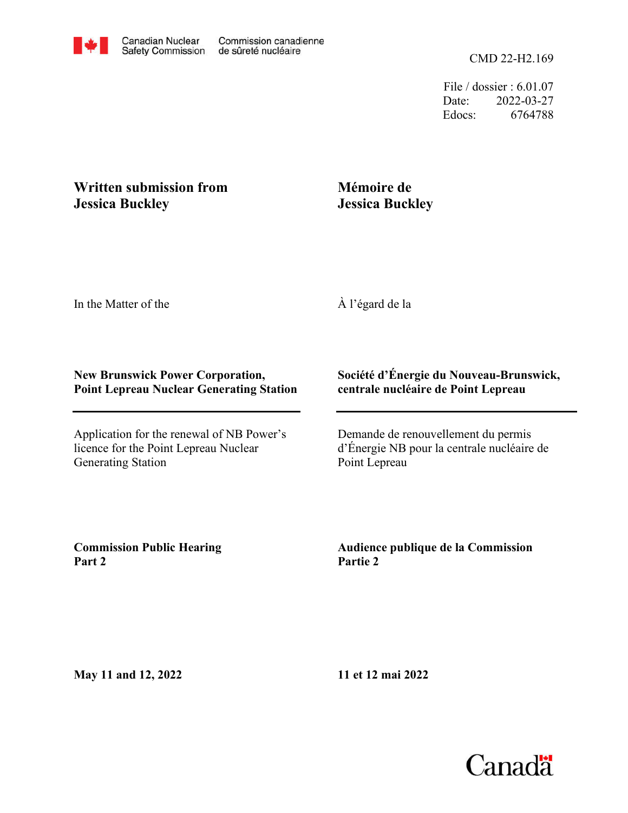File / dossier : 6.01.07 Date: 2022-03-27 Edocs: 6764788

## **Written submission from Jessica Buckley**

## **Mémoire de Jessica Buckley**

In the Matter of the

À l'égard de la

## **New Brunswick Power Corporation, Point Lepreau Nuclear Generating Station**

Application for the renewal of NB Power's licence for the Point Lepreau Nuclear Generating Station

## **Société d'Énergie du Nouveau-Brunswick, centrale nucléaire de Point Lepreau**

Demande de renouvellement du permis d'Énergie NB pour la centrale nucléaire de Point Lepreau

**Commission Public Hearing Part 2**

**Audience publique de la Commission Partie 2**

**May 11 and 12, 2022**

**11 et 12 mai 2022**

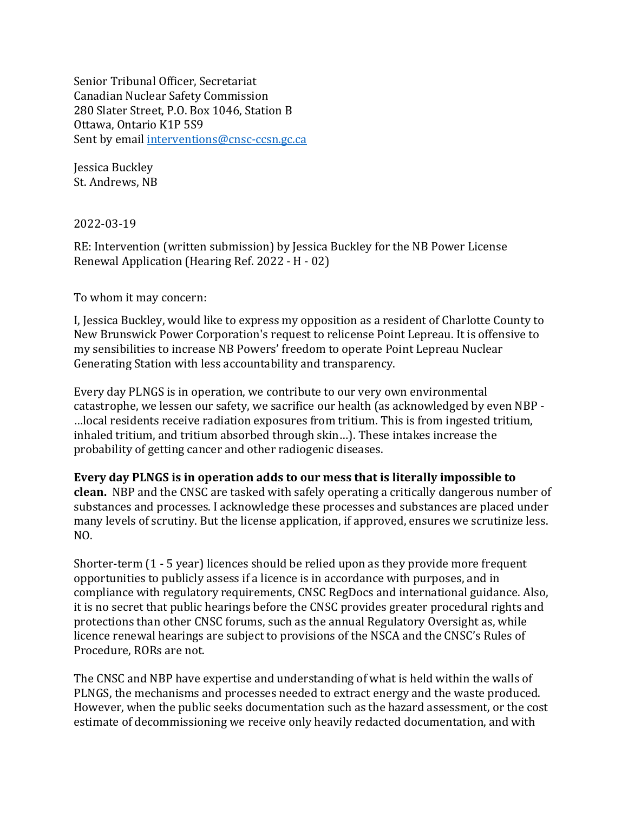Senior Tribunal Officer, Secretariat Canadian Nuclear Safety Commission 280 Slater Street, P.O. Box 1046, Station B Ottawa, Ontario K1P 5S9 Sent by email interventions@cnsc-ccsn.gc.ca

Jessica Buckley St. Andrews, NB

2022-03-19

RE: Intervention (written submission) by Jessica Buckley for the NB Power License Renewal Application (Hearing Ref. 2022 - H - 02)

To whom it may concern:

I, Jessica Buckley, would like to express my opposition as a resident of Charlotte County to New Brunswick Power Corporation's request to relicense Point Lepreau. It is offensive to my sensibilities to increase NB Powers' freedom to operate Point Lepreau Nuclear Generating Station with less accountability and transparency.

Every day PLNGS is in operation, we contribute to our very own environmental catastrophe, we lessen our safety, we sacrifice our health (as acknowledged by even NBP - …local residents receive radiation exposures from tritium. This is from ingested tritium, inhaled tritium, and tritium absorbed through skin…). These intakes increase the probability of getting cancer and other radiogenic diseases.

Every day PLNGS is in operation adds to our mess that is literally impossible to clean. NBP and the CNSC are tasked with safely operating a critically dangerous number of substances and processes. I acknowledge these processes and substances are placed under many levels of scrutiny. But the license application, if approved, ensures we scrutinize less. NO.

Shorter-term (1 - 5 year) licences should be relied upon as they provide more frequent opportunities to publicly assess if a licence is in accordance with purposes, and in compliance with regulatory requirements, CNSC RegDocs and international guidance. Also, it is no secret that public hearings before the CNSC provides greater procedural rights and protections than other CNSC forums, such as the annual Regulatory Oversight as, while licence renewal hearings are subject to provisions of the NSCA and the CNSC's Rules of Procedure, RORs are not.

The CNSC and NBP have expertise and understanding of what is held within the walls of PLNGS, the mechanisms and processes needed to extract energy and the waste produced. However, when the public seeks documentation such as the hazard assessment, or the cost estimate of decommissioning we receive only heavily redacted documentation, and with